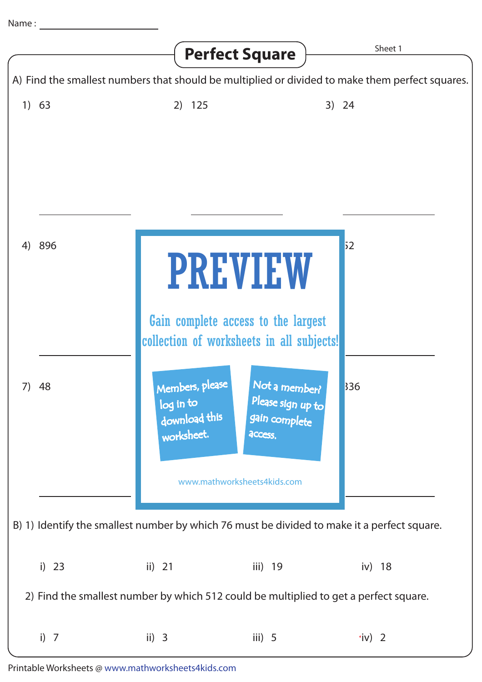